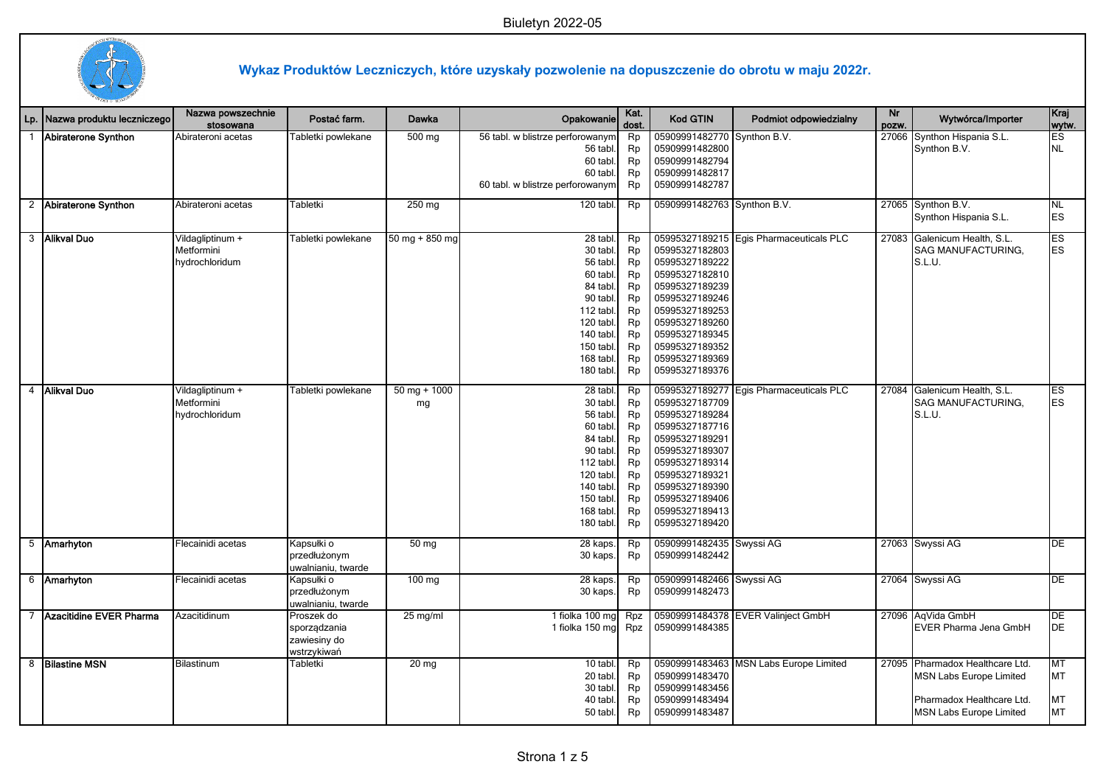

## **Wykaz Produktów Leczniczych, które uzyskały pozwolenie na dopuszczenie do obrotu w maju 2022r.**

| Lp.            | Nazwa produktu leczniczego | Nazwa powszechnie<br>stosowana | Postać farm.                     | Dawka            | Opakowanie                                   | Kat.<br>dost. | <b>Kod GTIN</b>                  | Podmiot odpowiedzialny                  | Nr<br>pozw. | Wytwórca/Importer                           | Kraj<br>wytw.          |
|----------------|----------------------------|--------------------------------|----------------------------------|------------------|----------------------------------------------|---------------|----------------------------------|-----------------------------------------|-------------|---------------------------------------------|------------------------|
| $\mathbf{1}$   | Abiraterone Synthon        | Abirateroni acetas             | Tabletki powlekane               | 500 mg           | 56 tabl. w blistrze perforowanym<br>56 tabl. | Rp<br>Rp      | 05909991482770<br>05909991482800 | Synthon B.V.                            | 27066       | Synthon Hispania S.L.<br>Synthon B.V.       | ES<br><b>NL</b>        |
|                |                            |                                |                                  |                  | 60 tabl.                                     | Rp            | 05909991482794                   |                                         |             |                                             |                        |
|                |                            |                                |                                  |                  | 60 tabl.                                     | Rp            | 05909991482817                   |                                         |             |                                             |                        |
|                |                            |                                |                                  |                  | 60 tabl. w blistrze perforowanym             | Rp            | 05909991482787                   |                                         |             |                                             |                        |
|                | 2 Abiraterone Synthon      | Abirateroni acetas             | Tabletki                         | 250 mg           | $\overline{120}$ tabl.                       | Rp            | 05909991482763 Synthon B.V.      |                                         |             | 27065 Synthon B.V.<br>Synthon Hispania S.L. | NL.<br><b>ES</b>       |
|                | 3 Alikval Duo              | Vildagliptinum +               | Tabletki powlekane               | $50$ mg + 850 mg | 28 tabl.                                     | Rp            |                                  | 05995327189215 Egis Pharmaceuticals PLC | 27083       | Galenicum Health, S.L.                      | ES                     |
|                |                            | Metformini                     |                                  |                  | 30 tabl.                                     | Rp            | 05995327182803                   |                                         |             | SAG MANUFACTURING,                          | ES                     |
|                |                            | hydrochloridum                 |                                  |                  | 56 tabl.                                     | Rp            | 05995327189222                   |                                         |             | S.L.U.                                      |                        |
|                |                            |                                |                                  |                  | 60 tabl.                                     | Rp            | 05995327182810                   |                                         |             |                                             |                        |
|                |                            |                                |                                  |                  | 84 tabl.                                     | Rp            | 05995327189239                   |                                         |             |                                             |                        |
|                |                            |                                |                                  |                  | 90 tabl.                                     | Rp            | 05995327189246                   |                                         |             |                                             |                        |
|                |                            |                                |                                  |                  | 112 tabl.                                    | Rp            | 05995327189253                   |                                         |             |                                             |                        |
|                |                            |                                |                                  |                  | 120 tabl.                                    | Rp            | 05995327189260                   |                                         |             |                                             |                        |
|                |                            |                                |                                  |                  | 140 tabl.                                    | Rp            | 05995327189345                   |                                         |             |                                             |                        |
|                |                            |                                |                                  |                  | 150 tabl.                                    | Rp            | 05995327189352<br>05995327189369 |                                         |             |                                             |                        |
|                |                            |                                |                                  |                  | 168 tabl.<br>180 tabl.                       | Rp<br>Rp      | 05995327189376                   |                                         |             |                                             |                        |
|                |                            |                                |                                  |                  |                                              |               |                                  |                                         |             |                                             |                        |
| $\overline{4}$ | Alikval Duo                | Vildagliptinum +               | Tabletki powlekane               | $50$ mg + 1000   | 28 tabl.                                     | Rp            |                                  | 05995327189277 Egis Pharmaceuticals PLC | 27084       | Galenicum Health, S.L.                      | ES                     |
|                |                            | Metformini                     |                                  | mg               | 30 tabl.                                     | Rp            | 05995327187709                   |                                         |             | SAG MANUFACTURING,                          | <b>ES</b>              |
|                |                            | hydrochloridum                 |                                  |                  | 56 tabl.                                     | Rp            | 05995327189284                   |                                         |             | S.L.U.                                      |                        |
|                |                            |                                |                                  |                  | 60 tabl.                                     | Rp            | 05995327187716                   |                                         |             |                                             |                        |
|                |                            |                                |                                  |                  | 84 tabl.                                     | Rp            | 05995327189291                   |                                         |             |                                             |                        |
|                |                            |                                |                                  |                  | 90 tabl.                                     | Rp            | 05995327189307                   |                                         |             |                                             |                        |
|                |                            |                                |                                  |                  | 112 tabl.                                    | Rp<br>Rp      | 05995327189314<br>05995327189321 |                                         |             |                                             |                        |
|                |                            |                                |                                  |                  | 120 tabl.<br>140 tabl.                       | Rp            | 05995327189390                   |                                         |             |                                             |                        |
|                |                            |                                |                                  |                  | 150 tabl.                                    | Rp            | 05995327189406                   |                                         |             |                                             |                        |
|                |                            |                                |                                  |                  | 168 tabl.                                    | Rp            | 05995327189413                   |                                         |             |                                             |                        |
|                |                            |                                |                                  |                  | 180 tabl.                                    | Rp            | 05995327189420                   |                                         |             |                                             |                        |
|                |                            |                                |                                  |                  |                                              |               |                                  |                                         |             |                                             |                        |
|                | 5 Amarhyton                | Flecainidi acetas              | Kapsułki o                       | 50 mg            | 28 kaps.                                     | Rp            | 05909991482435                   | Swyssi AG                               |             | 27063 Swyssi AG                             | $\overline{DE}$        |
|                |                            |                                | przedłużonym                     |                  | 30 kaps.                                     | Rp            | 05909991482442                   |                                         |             |                                             |                        |
|                | 6 Amarhyton                | Flecainidi acetas              | uwalnianiu, twarde<br>Kapsułki o | $100 \text{ mg}$ | 28 kaps.                                     | Rp            | 05909991482466 Swyssi AG         |                                         |             | 27064 Swyssi AG                             | DE                     |
|                |                            |                                | przedłużonym                     |                  | 30 kaps.                                     | Rp            | 05909991482473                   |                                         |             |                                             |                        |
|                |                            |                                | uwalnianiu, twarde               |                  |                                              |               |                                  |                                         |             |                                             |                        |
|                | 7 Azacitidine EVER Pharma  | Azacitidinum                   | Proszek do                       | $25$ mg/ml       | 1 fiolka 100 mg                              | Rpz           |                                  | 05909991484378 EVER Valinject GmbH      | 27096       | AqVida GmbH                                 | DE                     |
|                |                            |                                | sporządzania                     |                  | 1 fiolka 150 mg                              | Rpz           | 05909991484385                   |                                         |             | <b>EVER Pharma Jena GmbH</b>                | DE                     |
|                |                            |                                | zawiesiny do                     |                  |                                              |               |                                  |                                         |             |                                             |                        |
|                |                            |                                | wstrzykiwań                      |                  |                                              |               |                                  |                                         |             |                                             |                        |
|                | 8 Bilastine MSN            | Bilastinum                     | Tabletki                         | 20 <sub>mg</sub> | 10 tabl.                                     | Rp            |                                  | 05909991483463 MSN Labs Europe Limited  |             | 27095 Pharmadox Healthcare Ltd.             | $\overline{\text{MT}}$ |
|                |                            |                                |                                  |                  | 20 tabl.                                     | Rp            | 05909991483470                   |                                         |             | <b>MSN Labs Europe Limited</b>              | MT                     |
|                |                            |                                |                                  |                  | 30 tabl.                                     | Rp            | 05909991483456                   |                                         |             |                                             |                        |
|                |                            |                                |                                  |                  | 40 tabl.                                     | Rp            | 05909991483494                   |                                         |             | Pharmadox Healthcare Ltd.                   | MT                     |
|                |                            |                                |                                  |                  | 50 tabl.                                     | Rp            | 05909991483487                   |                                         |             | MSN Labs Europe Limited                     | MT                     |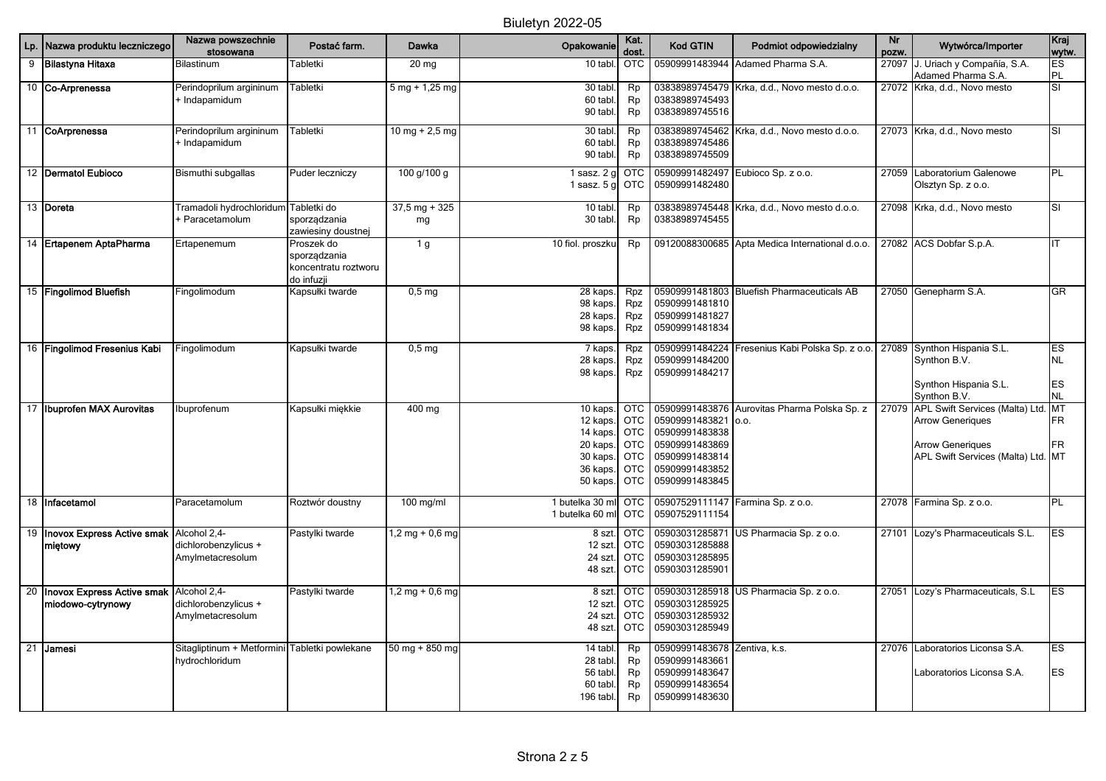| Lp.             | Nazwa produktu leczniczego                             | Nazwa powszechnie<br>stosowana                           | Postać farm.                                                     | Dawka                            | Opakowanie                                                                       | Kat.<br>dost.                                                                                  | <b>Kod GTIN</b>                                                                                          | Podmiot odpowiedzialny                               | Nr<br>pozw. | Wytwórca/Importer                                                                                                              | Kraj<br>wytw.                             |
|-----------------|--------------------------------------------------------|----------------------------------------------------------|------------------------------------------------------------------|----------------------------------|----------------------------------------------------------------------------------|------------------------------------------------------------------------------------------------|----------------------------------------------------------------------------------------------------------|------------------------------------------------------|-------------|--------------------------------------------------------------------------------------------------------------------------------|-------------------------------------------|
| 9               | Bilastyna Hitaxa                                       | Bilastinum                                               | Tabletki                                                         | $20$ mg                          | 10 tabl                                                                          | <b>OTC</b>                                                                                     | 05909991483944                                                                                           | Adamed Pharma S.A.                                   | 27097       | J. Uriach y Compañía, S.A.<br>Adamed Pharma S.A.                                                                               | ES<br><b>PL</b>                           |
|                 | 10 Co-Arprenessa                                       | Perindoprilum argininum<br>+ Indapamidum                 | Tabletki                                                         | $5$ mg + 1,25 mg                 | 30 tabl.<br>60 tabl.<br>90 tabl.                                                 | Rp<br>Rp<br>Rp                                                                                 | 03838989745493<br>03838989745516                                                                         | 03838989745479 Krka, d.d., Novo mesto d.o.o.         |             | 27072 Krka, d.d., Novo mesto                                                                                                   | SI                                        |
|                 | 11 CoArprenessa                                        | Perindoprilum argininum<br>+ Indapamidum                 | Tabletki                                                         | 10 mg + 2,5 mg                   | 30 tabl<br>60 tabl.<br>90 tabl.                                                  | Rp<br>Rp<br>Rp                                                                                 | 03838989745462<br>03838989745486<br>03838989745509                                                       | Krka, d.d., Novo mesto d.o.o.                        |             | 27073 Krka, d.d., Novo mesto                                                                                                   | SI                                        |
|                 | 12 Dermatol Eubioco                                    | Bismuthi subgallas                                       | Puder leczniczy                                                  | 100 g/100 g                      | 1 sasz. $2g$<br>1 sasz. $5g$                                                     | <b>OTC</b><br><b>OTC</b>                                                                       | 05909991482497<br>05909991482480                                                                         | Eubioco Sp. z o.o.                                   | 27059       | Laboratorium Galenowe<br>Olsztyn Sp. z o.o.                                                                                    | PL                                        |
|                 | 13 Doreta                                              | Tramadoli hydrochloridum Tabletki do<br>Paracetamolum    | sporządzania<br>zawiesiny doustnej                               | $37,5 \text{ mg} + 325$<br>mg    | 10 tabl.<br>30 tabl.                                                             | Rp<br>Rp                                                                                       | 03838989745448<br>03838989745455                                                                         | Krka, d.d., Novo mesto d.o.o.                        |             | 27098 Krka, d.d., Novo mesto                                                                                                   | SI                                        |
|                 | 14 Ertapenem AptaPharma                                | Ertapenemum                                              | Proszek do<br>sporządzania<br>koncentratu roztworu<br>do infuzji | 1 g                              | 10 fiol. proszku                                                                 | Rp                                                                                             |                                                                                                          | 09120088300685 Apta Medica International d.o.o.      |             | 27082 ACS Dobfar S.p.A.                                                                                                        | IT                                        |
|                 | 15 Fingolimod Bluefish                                 | Fingolimodum                                             | Kapsułki twarde                                                  | $0,5$ mg                         | 28 kaps.<br>98 kaps.<br>28 kaps.<br>98 kaps.                                     | Rpz<br>Rpz<br>Rpz<br>Rpz                                                                       | 05909991481810<br>05909991481827<br>05909991481834                                                       | 05909991481803 Bluefish Pharmaceuticals AB           |             | 27050 Genepharm S.A.                                                                                                           | <b>GR</b>                                 |
|                 | 16 Fingolimod Fresenius Kabi                           | Fingolimodum                                             | Kapsułki twarde                                                  | 0.5 <sub>mg</sub>                | 7 kaps.<br>28 kaps.<br>98 kaps.                                                  | Rpz<br>Rpz<br>Rpz                                                                              | 05909991484224<br>05909991484200<br>05909991484217                                                       | Fresenius Kabi Polska Sp. z o.o.                     |             | 27089 Synthon Hispania S.L.<br>Synthon B.V.<br>Synthon Hispania S.L.<br>Synthon B.V.                                           | ES<br><b>NL</b><br><b>ES</b><br><b>NL</b> |
|                 | 17 Ibuprofen MAX Aurovitas                             | Ibuprofenum                                              | Kapsułki miękkie                                                 | 400 mg                           | 10 kaps.<br>12 kaps.<br>14 kaps.<br>20 kaps.<br>30 kaps.<br>36 kaps.<br>50 kaps. | <b>OTC</b><br><b>OTC</b><br><b>OTC</b><br><b>OTC</b><br><b>OTC</b><br><b>OTC</b><br><b>OTC</b> | 05909991483821<br>05909991483838<br>05909991483869<br>05909991483814<br>05909991483852<br>05909991483845 | 05909991483876 Aurovitas Pharma Polska Sp. z<br>0.0. | 27079       | APL Swift Services (Malta) Ltd. MT<br><b>Arrow Generiques</b><br><b>Arrow Generiques</b><br>APL Swift Services (Malta) Ltd. MT | <b>FR</b><br>FR.                          |
|                 | 18 Infacetamol                                         | Paracetamolum                                            | Roztwór doustny                                                  | 100 mg/ml                        | 1 butelka 30 ml<br>1 butelka 60 ml                                               | <b>OTC</b><br><b>OTC</b>                                                                       | 05907529111147<br>05907529111154                                                                         | Farmina Sp. z o.o.                                   |             | 27078 Farmina Sp. z o.o.                                                                                                       | PL                                        |
| 19              | <b>Inovox Express Active smak</b><br>miętowy           | Alcohol 2,4-<br>dichlorobenzylicus +<br>Amylmetacresolum | Pastylki twarde                                                  | $1,2$ mg + 0,6 mg                | 8 szt.<br>12 szt.<br>24 szt.<br>48 szt.                                          | <b>OTC</b><br><b>OTC</b><br><b>OTC</b><br><b>OTC</b>                                           | 05903031285888<br>05903031285895<br>05903031285901                                                       | 05903031285871 US Pharmacia Sp. z o.o.               |             | 27101 Lozy's Pharmaceuticals S.L.                                                                                              | <b>ES</b>                                 |
| 20              | <b>Inovox Express Active smak</b><br>miodowo-cytrynowy | Alcohol 2,4-<br>dichlorobenzylicus +<br>Amylmetacresolum | Pastylki twarde                                                  | $1,2$ mg + 0,6 mg                | 8 szt.<br>12 szt.<br>24 szt.<br>48 szt.                                          | <b>OTC</b><br><b>OTC</b><br><b>OTC</b><br><b>OTC</b>                                           | 05903031285918<br>05903031285925<br>05903031285932<br>05903031285949                                     | US Pharmacia Sp. z o.o.                              | 27051       | Lozy's Pharmaceuticals, S.L.                                                                                                   | ES                                        |
| 21 <sup>1</sup> | Jamesi                                                 | Sitagliptinum + Metformini<br>hydrochloridum             | Tabletki powlekane                                               | $50 \text{ mg} + 850 \text{ mg}$ | 14 tabl.<br>28 tabl.<br>56 tabl.<br>60 tabl.<br>196 tabl.                        | Rp<br>Rp<br>Rp<br>Rp<br>Rp                                                                     | 05909991483678<br>05909991483661<br>05909991483647<br>05909991483654<br>05909991483630                   | Zentiva, k.s.                                        |             | 27076 Laboratorios Liconsa S.A.<br>Laboratorios Liconsa S.A.                                                                   | <b>ES</b><br><b>ES</b>                    |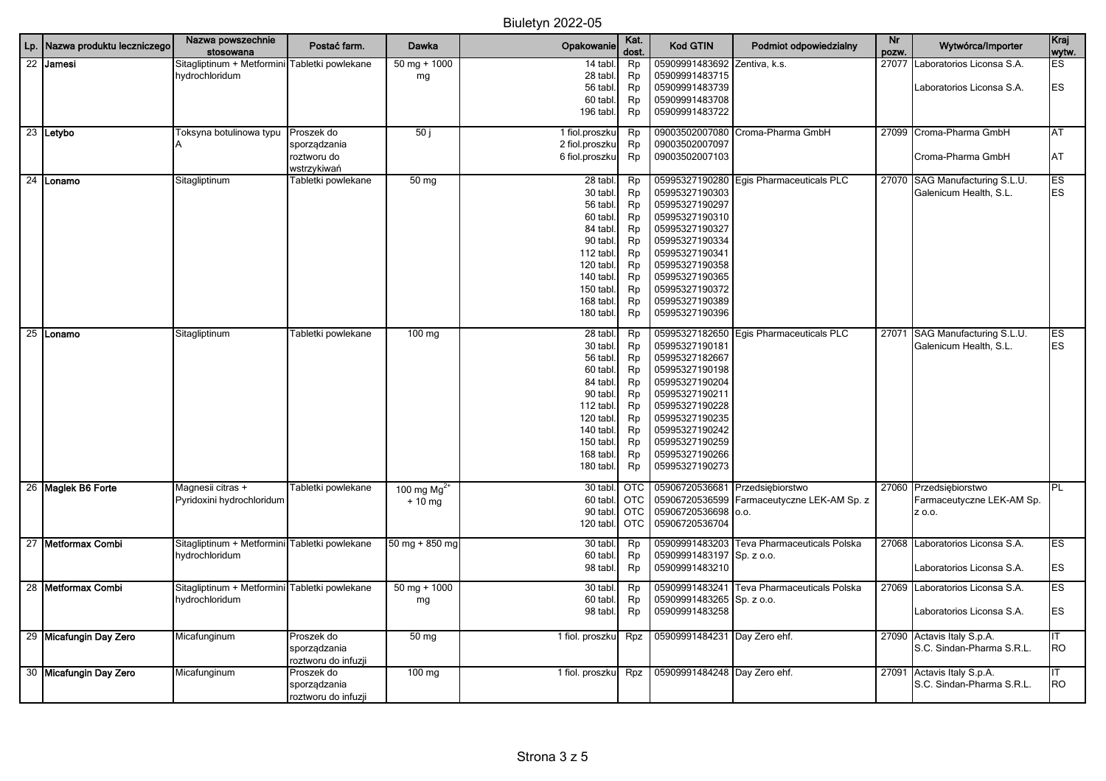| Lp. Nazwa produktu leczniczego | Nazwa powszechnie<br>stosowana | Postać farm.                             | Dawka                  | Opakowanie             | Kat.<br>dost. | Kod GTIN                         | Podmiot odpowiedzialny      | <b>Nr</b><br>pozw. | Wytwórca/Importer               | Kraj<br>wytw. |
|--------------------------------|--------------------------------|------------------------------------------|------------------------|------------------------|---------------|----------------------------------|-----------------------------|--------------------|---------------------------------|---------------|
| 22 Jamesi                      | Sitagliptinum + Metformini     | Fabletki powlekane                       | $50$ mg + 1000         | 14 tabl.               | Rp            | 05909991483692                   | Zentiva, k.s.               |                    | 27077 Laboratorios Liconsa S.A. | ES            |
|                                | hydrochloridum                 |                                          | mg                     | 28 tabl.               | Rp            | 05909991483715                   |                             |                    |                                 |               |
|                                |                                |                                          |                        | 56 tabl.               | Rp            | 05909991483739                   |                             |                    | Laboratorios Liconsa S.A.       | ES            |
|                                |                                |                                          |                        | 60 tabl.               | Rp            | 05909991483708                   |                             |                    |                                 |               |
|                                |                                |                                          |                        | 196 tabl.              | Rp            | 05909991483722                   |                             |                    |                                 |               |
| 23 Letybo                      | Toksyna botulinowa typu        | Proszek do                               | 50j                    | 1 fiol.proszku         | Rp            | 09003502007080                   | Croma-Pharma GmbH           |                    | 27099 Croma-Pharma GmbH         | AT            |
|                                |                                | sporządzania                             |                        | 2 fiol.proszku         | Rp            | 09003502007097                   |                             |                    |                                 |               |
|                                |                                | roztworu do                              |                        | 6 fiol.proszku         | Rp            | 09003502007103                   |                             |                    | Croma-Pharma GmbH               | AT            |
| 24 Lonamo                      | Sitagliptinum                  | wstrzykiwań<br><b>Fabletki powlekane</b> | 50 mg                  | 28 tabl.               | Rp            | 05995327190280                   | Egis Pharmaceuticals PLC    |                    | 27070 SAG Manufacturing S.L.U.  | ES            |
|                                |                                |                                          |                        | 30 tabl.               | Rp            | 05995327190303                   |                             |                    | Galenicum Health, S.L.          | ES            |
|                                |                                |                                          |                        | 56 tabl.               | Rp            | 05995327190297                   |                             |                    |                                 |               |
|                                |                                |                                          |                        | 60 tabl.               | Rp            | 05995327190310                   |                             |                    |                                 |               |
|                                |                                |                                          |                        | 84 tabl.               | Rp            | 05995327190327                   |                             |                    |                                 |               |
|                                |                                |                                          |                        | 90 tabl.               | Rp            | 05995327190334                   |                             |                    |                                 |               |
|                                |                                |                                          |                        | 112 tabl.              | Rp            | 05995327190341                   |                             |                    |                                 |               |
|                                |                                |                                          |                        | 120 tabl.              | Rp            | 05995327190358                   |                             |                    |                                 |               |
|                                |                                |                                          |                        | 140 tabl.              | Rp            | 05995327190365                   |                             |                    |                                 |               |
|                                |                                |                                          |                        | 150 tabl.              | Rp            | 05995327190372                   |                             |                    |                                 |               |
|                                |                                |                                          |                        | 168 tabl.              | Rp            | 05995327190389                   |                             |                    |                                 |               |
|                                |                                |                                          |                        | 180 tabl.              | Rp            | 05995327190396                   |                             |                    |                                 |               |
|                                |                                |                                          |                        |                        |               |                                  |                             |                    |                                 |               |
| 25 Lonamo                      | Sitagliptinum                  | Tabletki powlekane                       | $100$ mg               | 28 tabl.               | Rp            | 05995327182650                   | Egis Pharmaceuticals PLC    |                    | 27071 SAG Manufacturing S.L.U.  | ES            |
|                                |                                |                                          |                        | 30 tabl.               | Rp            | 05995327190181                   |                             |                    | Galenicum Health, S.L.          | ES            |
|                                |                                |                                          |                        | 56 tabl.               | Rp            | 05995327182667                   |                             |                    |                                 |               |
|                                |                                |                                          |                        | 60 tabl.               | Rp            | 05995327190198                   |                             |                    |                                 |               |
|                                |                                |                                          |                        | 84 tabl.               | Rp            | 05995327190204                   |                             |                    |                                 |               |
|                                |                                |                                          |                        | 90 tabl.               | Rp            | 05995327190211                   |                             |                    |                                 |               |
|                                |                                |                                          |                        | 112 tabl.              | Rp            | 05995327190228                   |                             |                    |                                 |               |
|                                |                                |                                          |                        | 120 tabl.              | Rp            | 05995327190235                   |                             |                    |                                 |               |
|                                |                                |                                          |                        | 140 tabl.              | Rp            | 05995327190242                   |                             |                    |                                 |               |
|                                |                                |                                          |                        | 150 tabl.<br>168 tabl. | Rp<br>Rp      | 05995327190259<br>05995327190266 |                             |                    |                                 |               |
|                                |                                |                                          |                        | 180 tabl.              | Rp            | 05995327190273                   |                             |                    |                                 |               |
|                                |                                |                                          |                        |                        |               |                                  |                             |                    |                                 |               |
| 26 Maglek B6 Forte             | Magnesii citras +              | Tabletki powlekane                       | 100 mg $Mg^{2+}$       | 30 tabl.               | <b>OTC</b>    | 05906720536681                   | Przedsiębiorstwo            |                    | 27060 Przedsiębiorstwo          | PL            |
|                                | Pyridoxini hydrochloridum      |                                          | $+10$ mg               | 60 tabl.               | <b>OTC</b>    | 05906720536599                   | Farmaceutyczne LEK-AM Sp. z |                    | Farmaceutyczne LEK-AM Sp.       |               |
|                                |                                |                                          |                        | 90 tabl.               | <b>OTC</b>    | 05906720536698 o.o.              |                             |                    | Z 0.0.                          |               |
|                                |                                |                                          |                        | 120 tabl.              | <b>OTC</b>    | 05906720536704                   |                             |                    |                                 |               |
| 27 Metformax Combi             | Sitagliptinum + Metformini     | Tabletki powlekane                       | 50 mg + $850$ mg       | 30 tabl.               | Rp            | 05909991483203                   | Teva Pharmaceuticals Polska |                    | 27068 Laboratorios Liconsa S.A. | ES            |
|                                | hydrochloridum                 |                                          |                        | 60 tabl.               | Rp            | 05909991483197                   | Sp. z o.o.                  |                    |                                 |               |
|                                |                                |                                          |                        | 98 tabl.               | Rp            | 05909991483210                   |                             |                    | Laboratorios Liconsa S.A.       | ES            |
| 28 Metformax Combi             | Sitagliptinum + Metformini     | Tabletki powlekane                       | $50 \text{ mg} + 1000$ | 30 tabl.               | Rp            | 05909991483241                   | Teva Pharmaceuticals Polska |                    | 27069 Laboratorios Liconsa S.A. | ES            |
|                                | hydrochloridum                 |                                          | mg                     | 60 tabl.               | Rp            | 05909991483265 Sp. z o.o.        |                             |                    |                                 |               |
|                                |                                |                                          |                        | 98 tabl.               | Rp            | 05909991483258                   |                             |                    | Laboratorios Liconsa S.A.       | ES            |
|                                |                                |                                          |                        |                        |               |                                  |                             |                    |                                 |               |
| 29 Micafungin Day Zero         | Micafunginum                   | Proszek do                               | 50 mg                  | 1 fiol. proszku        | Rpz           | 05909991484231 Day Zero ehf.     |                             |                    | 27090 Actavis Italy S.p.A.      | ΙT            |
|                                |                                | sporządzania                             |                        |                        |               |                                  |                             |                    | S.C. Sindan-Pharma S.R.L.       | RO            |
|                                |                                | roztworu do infuzji                      |                        |                        |               |                                  |                             |                    |                                 |               |
| 30 Micafungin Day Zero         | Micafunginum                   | Proszek do                               | 100 mg                 | 1 fiol. proszku        | Rpz           | 05909991484248 Day Zero ehf.     |                             | 27091              | Actavis Italy S.p.A.            | IΤ            |
|                                |                                | sporządzania                             |                        |                        |               |                                  |                             |                    | S.C. Sindan-Pharma S.R.L.       | <b>RO</b>     |
|                                |                                | roztworu do infuzji                      |                        |                        |               |                                  |                             |                    |                                 |               |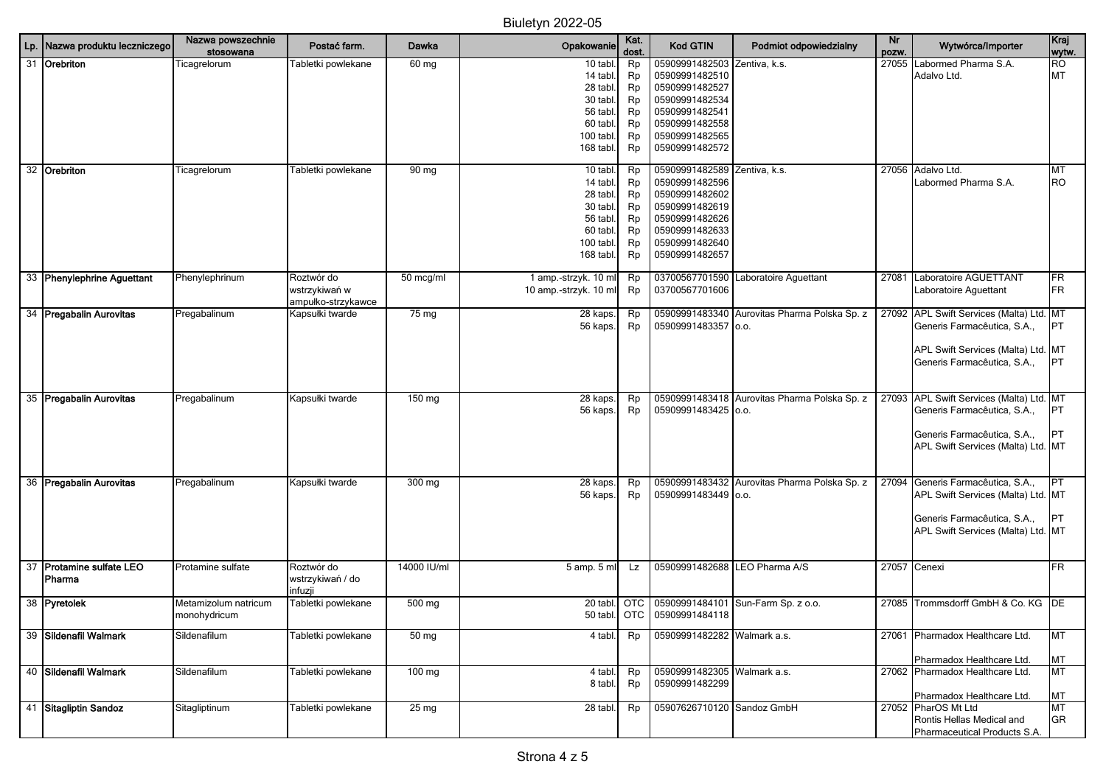| Lp. | Nazwa produktu leczniczego | Nazwa powszechnie<br>stosowana | Postać farm.                        | Dawka            | Opakowanie            | Kat.<br>dost. | <b>Kod GTIN</b>                               | Podmiot odpowiedzialny                       | Nr<br>pozw. | Wytwórca/Importer                        | Kraj<br>wytw. |
|-----|----------------------------|--------------------------------|-------------------------------------|------------------|-----------------------|---------------|-----------------------------------------------|----------------------------------------------|-------------|------------------------------------------|---------------|
| 31  | Orebriton                  | Ticagrelorum                   | Tabletki powlekane                  | 60 mg            | 10 tabl.              | Rp            | 05909991482503                                | Zentiva, k.s.                                | 27055       | Labormed Pharma S.A.                     | <b>RO</b>     |
|     |                            |                                |                                     |                  | 14 tabl.              | Rp            | 05909991482510                                |                                              |             | Adalvo Ltd.                              | MT            |
|     |                            |                                |                                     |                  | 28 tabl.              | Rp            | 05909991482527                                |                                              |             |                                          |               |
|     |                            |                                |                                     |                  | 30 tabl.<br>56 tabl.  | Rp<br>Rp      | 05909991482534<br>05909991482541              |                                              |             |                                          |               |
|     |                            |                                |                                     |                  | 60 tabl.              | Rp            | 05909991482558                                |                                              |             |                                          |               |
|     |                            |                                |                                     |                  | 100 tabl.             | Rp            | 05909991482565                                |                                              |             |                                          |               |
|     |                            |                                |                                     |                  | 168 tabl.             | Rp            | 05909991482572                                |                                              |             |                                          |               |
|     | 32 Orebriton               | Ticagrelorum                   | Tabletki powlekane                  | 90 mg            | 10 tabl.              | Rp            | 05909991482589                                | Zentiva, k.s.                                |             | 27056 Adalvo Ltd.                        | MT            |
|     |                            |                                |                                     |                  | 14 tabl.              | Rp            | 05909991482596                                |                                              |             | Labormed Pharma S.A.                     | <b>RO</b>     |
|     |                            |                                |                                     |                  | 28 tabl.              | Rp            | 05909991482602                                |                                              |             |                                          |               |
|     |                            |                                |                                     |                  | 30 tabl.<br>56 tabl.  | Rp<br>Rp      | 05909991482619<br>05909991482626              |                                              |             |                                          |               |
|     |                            |                                |                                     |                  | 60 tabl.              | Rp            | 05909991482633                                |                                              |             |                                          |               |
|     |                            |                                |                                     |                  | 100 tabl.             | Rp            | 05909991482640                                |                                              |             |                                          |               |
|     |                            |                                |                                     |                  | 168 tabl.             | Rp            | 05909991482657                                |                                              |             |                                          |               |
|     | 33 Phenylephrine Aguettant | Phenylephrinum                 | Roztwór do                          | 50 mcg/ml        | 1 amp.-strzyk. 10 ml  | Rp            | 03700567701590                                | Laboratoire Aguettant                        | 27081       | Laboratoire AGUETTANT                    | FR            |
|     |                            |                                | wstrzykiwań w<br>ampułko-strzykawce |                  | 10 amp.-strzyk. 10 ml | Rp            | 03700567701606                                |                                              |             | Laboratoire Aguettant                    | FR            |
|     | 34 Pregabalin Aurovitas    | Pregabalinum                   | Kapsułki twarde                     | 75 mg            | 28 kaps.              | Rp            | 05909991483340                                | Aurovitas Pharma Polska Sp. z                |             | 27092 APL Swift Services (Malta) Ltd. MT |               |
|     |                            |                                |                                     |                  | 56 kaps.              | Rp            | 05909991483357 0.0.                           |                                              |             | Generis Farmacêutica, S.A.,              | <b>IPT</b>    |
|     |                            |                                |                                     |                  |                       |               |                                               |                                              |             | APL Swift Services (Malta) Ltd. MT       |               |
|     |                            |                                |                                     |                  |                       |               |                                               |                                              |             | Generis Farmacêutica, S.A.,              | <b>IPT</b>    |
|     |                            |                                |                                     |                  |                       |               |                                               |                                              |             |                                          |               |
|     | 35 Pregabalin Aurovitas    | Pregabalinum                   | Kapsułki twarde                     | 150 mg           | 28 kaps.              | Rp            |                                               | 05909991483418 Aurovitas Pharma Polska Sp. z |             | 27093 APL Swift Services (Malta) Ltd. MT |               |
|     |                            |                                |                                     |                  | 56 kaps.              | Rp            | 05909991483425 o.o.                           |                                              |             | Generis Farmacêutica, S.A.,              | <b>PT</b>     |
|     |                            |                                |                                     |                  |                       |               |                                               |                                              |             | Generis Farmacêutica, S.A.,              | <b>IPT</b>    |
|     |                            |                                |                                     |                  |                       |               |                                               |                                              |             | APL Swift Services (Malta) Ltd. MT       |               |
|     |                            |                                |                                     |                  |                       |               |                                               |                                              |             |                                          |               |
|     | 36 Pregabalin Aurovitas    | Pregabalinum                   | Kapsułki twarde                     | 300 mg           | 28 kaps.              | Rp            |                                               | 05909991483432 Aurovitas Pharma Polska Sp. z |             | 27094 Generis Farmacêutica, S.A.,        | IPT           |
|     |                            |                                |                                     |                  | 56 kaps.              | Rp            | 05909991483449 0.0.                           |                                              |             | APL Swift Services (Malta) Ltd. MT       |               |
|     |                            |                                |                                     |                  |                       |               |                                               |                                              |             | Generis Farmacêutica, S.A.,              | IPT           |
|     |                            |                                |                                     |                  |                       |               |                                               |                                              |             | APL Swift Services (Malta) Ltd. MT       |               |
|     |                            |                                |                                     |                  |                       |               |                                               |                                              |             |                                          |               |
|     | 37 Protamine sulfate LEO   | Protamine sulfate              | Roztwór do                          | 14000 IU/ml      | 5 amp. 5 ml           | Lz            | 05909991482688 LEO Pharma A/S                 |                                              |             | 27057 Cenexi                             | FR            |
|     | Pharma                     |                                | wstrzykiwań / do<br>infuzji         |                  |                       |               |                                               |                                              |             |                                          |               |
|     | 38 Pyretolek               | Metamizolum natricum           | Tabletki powlekane                  | 500 mg           | 20 tabl.              | OTC           | 05909991484101                                | Sun-Farm Sp. z o.o.                          | 27085       | Trommsdorff GmbH & Co. KG DE             |               |
|     |                            | monohydricum                   |                                     |                  | 50 tabl.              |               | OTC 05909991484118                            |                                              |             |                                          |               |
|     | 39 Sildenafil Walmark      |                                |                                     |                  |                       |               | 05909991482282 Walmark a.s.                   |                                              |             |                                          |               |
|     |                            | Sildenafilum                   | Tabletki powlekane                  | 50 <sub>mg</sub> | 4 tabl.               | Rp            |                                               |                                              | 27061       | Pharmadox Healthcare Ltd.                | MT            |
|     |                            |                                |                                     |                  |                       |               |                                               |                                              |             | Pharmadox Healthcare Ltd.                | МT            |
|     | 40 Sildenafil Walmark      | Sildenafilum                   | Tabletki powlekane                  | 100 mg           | 4 tabl.               | Rp            | 05909991482305 Walmark a.s.<br>05909991482299 |                                              |             | 27062 Pharmadox Healthcare Ltd.          | MT            |
|     |                            |                                |                                     |                  | 8 tabl.               | Rp            |                                               |                                              |             | Pharmadox Healthcare Ltd.                | MT            |
|     | 41 Sitagliptin Sandoz      | Sitagliptinum                  | Tabletki powlekane                  | 25 mg            | 28 tabl.              | Rp            | 05907626710120 Sandoz GmbH                    |                                              |             | 27052 PharOS Mt Ltd                      | MT            |
|     |                            |                                |                                     |                  |                       |               |                                               |                                              |             | Rontis Hellas Medical and                | <b>GR</b>     |
|     |                            |                                |                                     |                  |                       |               |                                               |                                              |             | Pharmaceutical Products S.A.             |               |